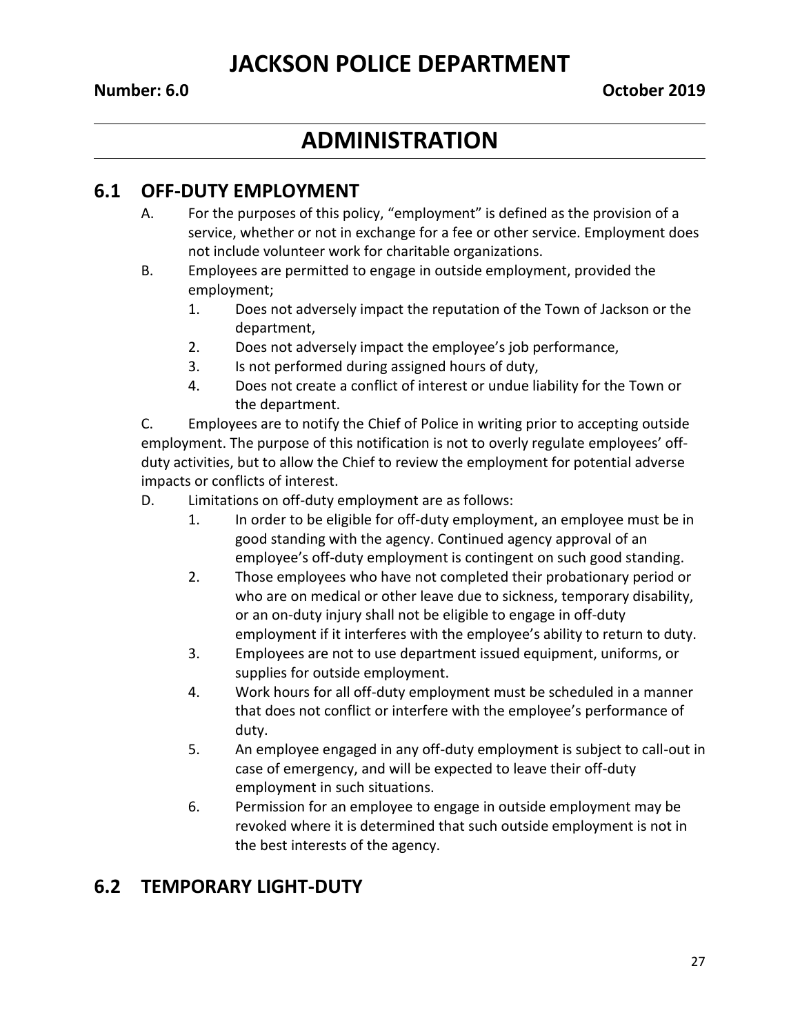#### **Number: 6.0 October 2019**

## **ADMINISTRATION**

#### **6.1 OFF-DUTY EMPLOYMENT**

- A. For the purposes of this policy, "employment" is defined as the provision of a service, whether or not in exchange for a fee or other service. Employment does not include volunteer work for charitable organizations.
- B. Employees are permitted to engage in outside employment, provided the employment;
	- 1. Does not adversely impact the reputation of the Town of Jackson or the department,
	- 2. Does not adversely impact the employee's job performance,
	- 3. Is not performed during assigned hours of duty,
	- 4. Does not create a conflict of interest or undue liability for the Town or the department.

C. Employees are to notify the Chief of Police in writing prior to accepting outside employment. The purpose of this notification is not to overly regulate employees' offduty activities, but to allow the Chief to review the employment for potential adverse impacts or conflicts of interest.

D. Limitations on off-duty employment are as follows:

- 1. In order to be eligible for off-duty employment, an employee must be in good standing with the agency. Continued agency approval of an employee's off-duty employment is contingent on such good standing.
- 2. Those employees who have not completed their probationary period or who are on medical or other leave due to sickness, temporary disability, or an on-duty injury shall not be eligible to engage in off-duty employment if it interferes with the employee's ability to return to duty.
- 3. Employees are not to use department issued equipment, uniforms, or supplies for outside employment.
- 4. Work hours for all off-duty employment must be scheduled in a manner that does not conflict or interfere with the employee's performance of duty.
- 5. An employee engaged in any off-duty employment is subject to call-out in case of emergency, and will be expected to leave their off-duty employment in such situations.
- 6. Permission for an employee to engage in outside employment may be revoked where it is determined that such outside employment is not in the best interests of the agency.

#### **6.2 TEMPORARY LIGHT-DUTY**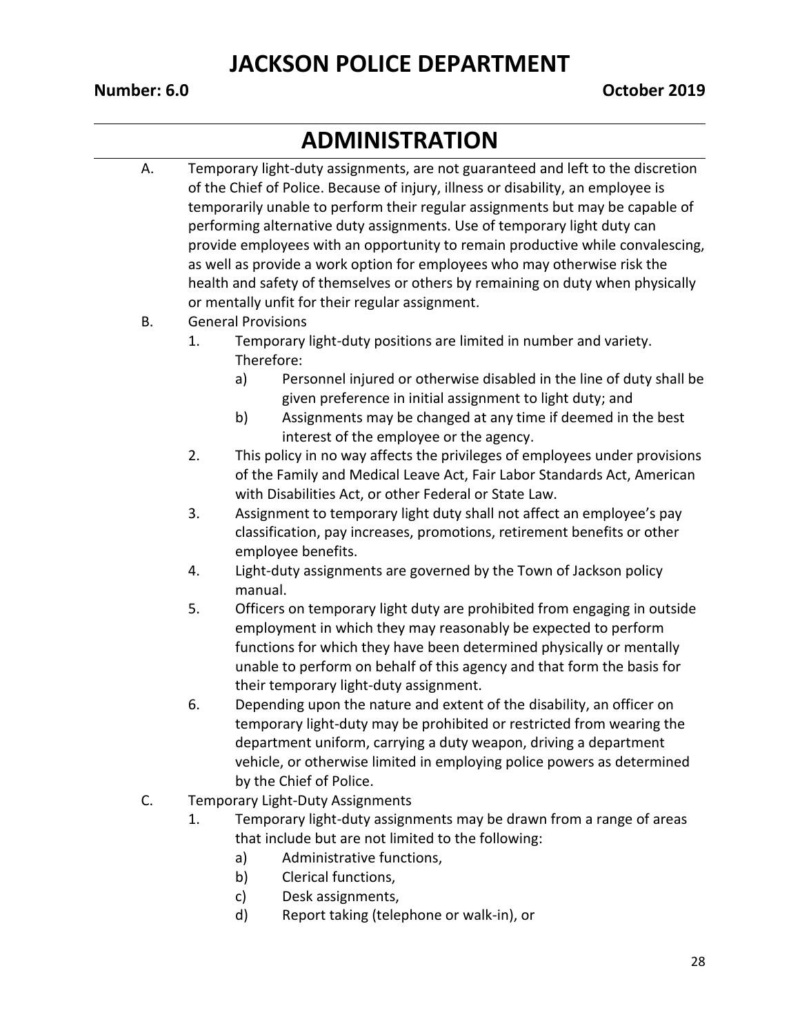# **ADMINISTRATION**

A. Temporary light-duty assignments, are not guaranteed and left to the discretion of the Chief of Police. Because of injury, illness or disability, an employee is temporarily unable to perform their regular assignments but may be capable of performing alternative duty assignments. Use of temporary light duty can provide employees with an opportunity to remain productive while convalescing, as well as provide a work option for employees who may otherwise risk the health and safety of themselves or others by remaining on duty when physically or mentally unfit for their regular assignment.

#### B. General Provisions

- 1. Temporary light-duty positions are limited in number and variety. Therefore:
	- a) Personnel injured or otherwise disabled in the line of duty shall be given preference in initial assignment to light duty; and
	- b) Assignments may be changed at any time if deemed in the best interest of the employee or the agency.
- 2. This policy in no way affects the privileges of employees under provisions of the Family and Medical Leave Act, Fair Labor Standards Act, American with Disabilities Act, or other Federal or State Law.
- 3. Assignment to temporary light duty shall not affect an employee's pay classification, pay increases, promotions, retirement benefits or other employee benefits.
- 4. Light-duty assignments are governed by the Town of Jackson policy manual.
- 5. Officers on temporary light duty are prohibited from engaging in outside employment in which they may reasonably be expected to perform functions for which they have been determined physically or mentally unable to perform on behalf of this agency and that form the basis for their temporary light-duty assignment.
- 6. Depending upon the nature and extent of the disability, an officer on temporary light-duty may be prohibited or restricted from wearing the department uniform, carrying a duty weapon, driving a department vehicle, or otherwise limited in employing police powers as determined by the Chief of Police.
- C. Temporary Light-Duty Assignments
	- 1. Temporary light-duty assignments may be drawn from a range of areas that include but are not limited to the following:
		- a) Administrative functions,
		- b) Clerical functions,
		- c) Desk assignments,
		- d) Report taking (telephone or walk-in), or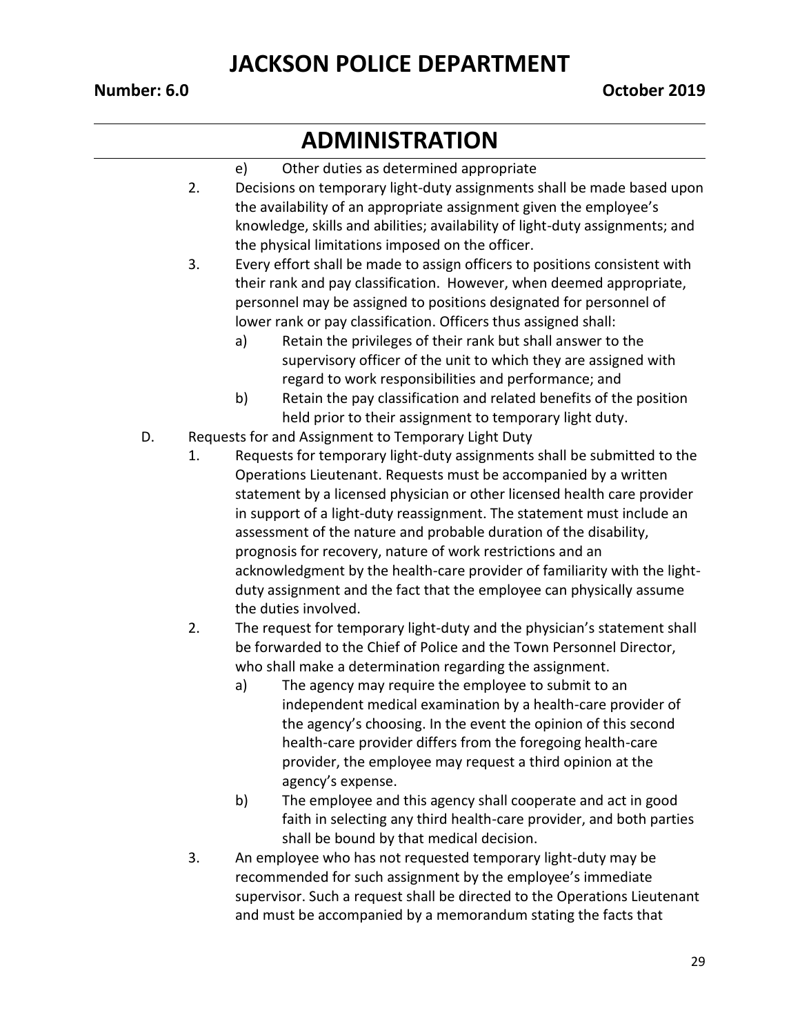# **ADMINISTRATION**

#### e) Other duties as determined appropriate

- 2. Decisions on temporary light-duty assignments shall be made based upon the availability of an appropriate assignment given the employee's knowledge, skills and abilities; availability of light-duty assignments; and the physical limitations imposed on the officer.
- 3. Every effort shall be made to assign officers to positions consistent with their rank and pay classification. However, when deemed appropriate, personnel may be assigned to positions designated for personnel of lower rank or pay classification. Officers thus assigned shall:
	- a) Retain the privileges of their rank but shall answer to the supervisory officer of the unit to which they are assigned with regard to work responsibilities and performance; and
	- b) Retain the pay classification and related benefits of the position held prior to their assignment to temporary light duty.
- D. Requests for and Assignment to Temporary Light Duty
	- 1. Requests for temporary light-duty assignments shall be submitted to the Operations Lieutenant. Requests must be accompanied by a written statement by a licensed physician or other licensed health care provider in support of a light-duty reassignment. The statement must include an assessment of the nature and probable duration of the disability, prognosis for recovery, nature of work restrictions and an acknowledgment by the health-care provider of familiarity with the lightduty assignment and the fact that the employee can physically assume the duties involved.
	- 2. The request for temporary light-duty and the physician's statement shall be forwarded to the Chief of Police and the Town Personnel Director, who shall make a determination regarding the assignment.
		- a) The agency may require the employee to submit to an independent medical examination by a health-care provider of the agency's choosing. In the event the opinion of this second health-care provider differs from the foregoing health-care provider, the employee may request a third opinion at the agency's expense.
		- b) The employee and this agency shall cooperate and act in good faith in selecting any third health-care provider, and both parties shall be bound by that medical decision.
	- 3. An employee who has not requested temporary light-duty may be recommended for such assignment by the employee's immediate supervisor. Such a request shall be directed to the Operations Lieutenant and must be accompanied by a memorandum stating the facts that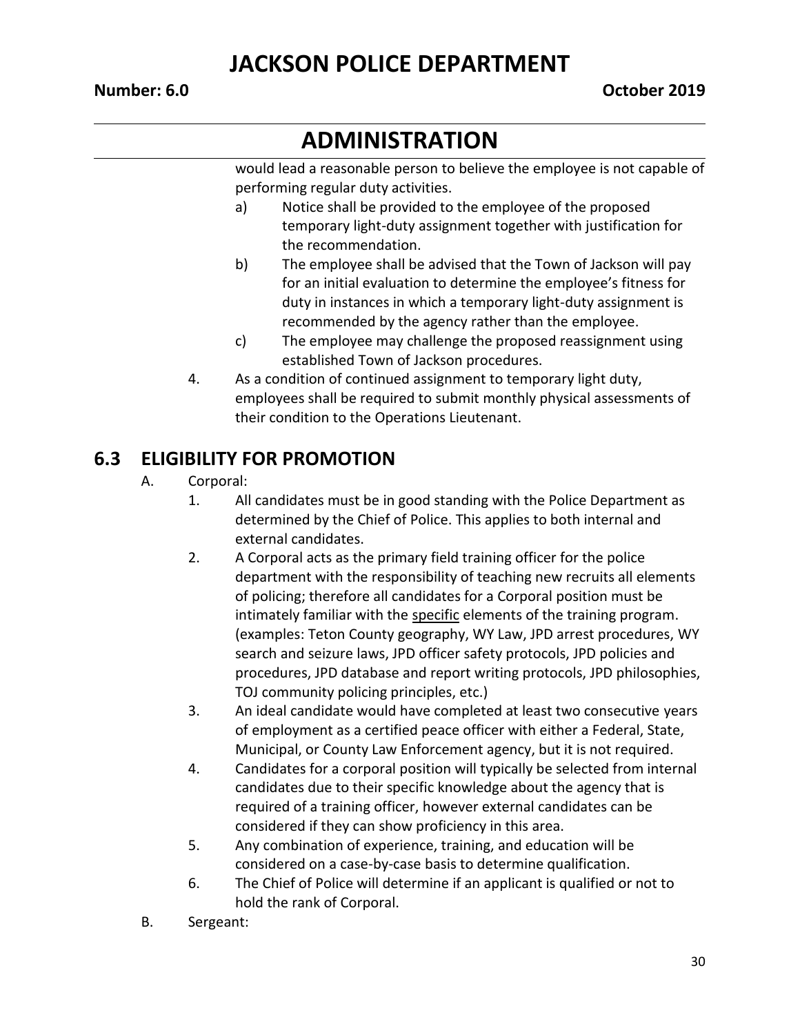# **ADMINISTRATION**

would lead a reasonable person to believe the employee is not capable of performing regular duty activities.

- a) Notice shall be provided to the employee of the proposed temporary light-duty assignment together with justification for the recommendation.
- b) The employee shall be advised that the Town of Jackson will pay for an initial evaluation to determine the employee's fitness for duty in instances in which a temporary light-duty assignment is recommended by the agency rather than the employee.
- c) The employee may challenge the proposed reassignment using established Town of Jackson procedures.
- 4. As a condition of continued assignment to temporary light duty, employees shall be required to submit monthly physical assessments of their condition to the Operations Lieutenant.

#### **6.3 ELIGIBILITY FOR PROMOTION**

- A. Corporal:
	- 1. All candidates must be in good standing with the Police Department as determined by the Chief of Police. This applies to both internal and external candidates.
	- 2. A Corporal acts as the primary field training officer for the police department with the responsibility of teaching new recruits all elements of policing; therefore all candidates for a Corporal position must be intimately familiar with the specific elements of the training program. (examples: Teton County geography, WY Law, JPD arrest procedures, WY search and seizure laws, JPD officer safety protocols, JPD policies and procedures, JPD database and report writing protocols, JPD philosophies, TOJ community policing principles, etc.)
	- 3. An ideal candidate would have completed at least two consecutive years of employment as a certified peace officer with either a Federal, State, Municipal, or County Law Enforcement agency, but it is not required.
	- 4. Candidates for a corporal position will typically be selected from internal candidates due to their specific knowledge about the agency that is required of a training officer, however external candidates can be considered if they can show proficiency in this area.
	- 5. Any combination of experience, training, and education will be considered on a case-by-case basis to determine qualification.
	- 6. The Chief of Police will determine if an applicant is qualified or not to hold the rank of Corporal.
- B. Sergeant: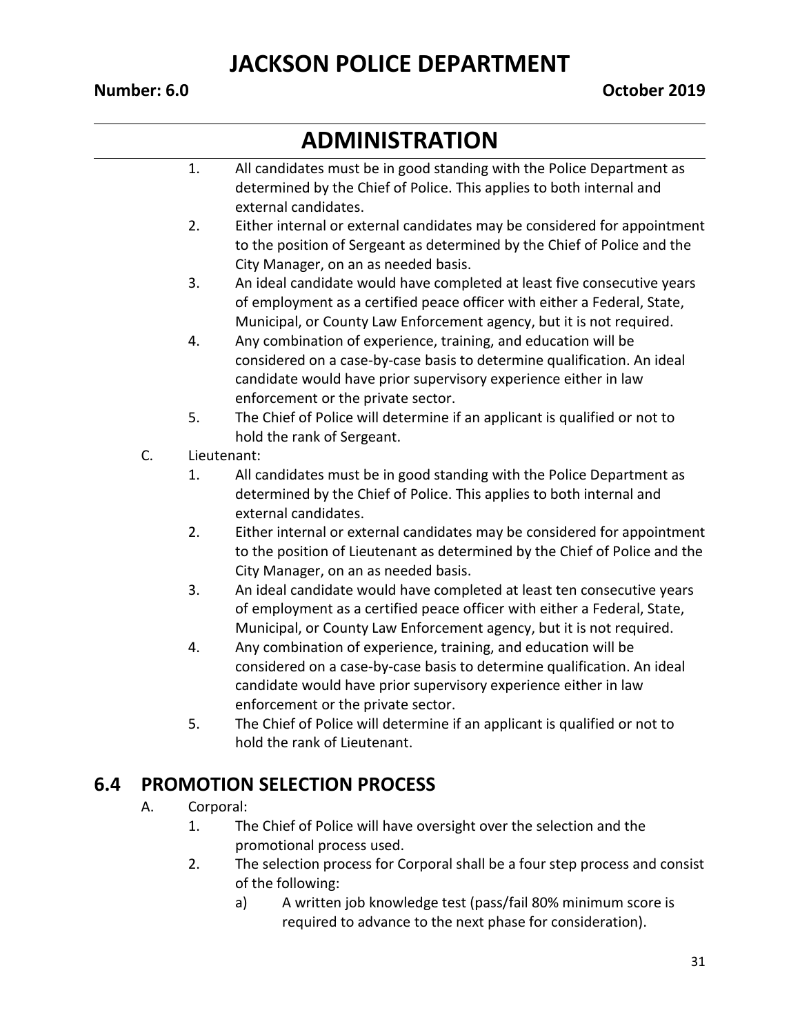## **ADMINISTRATION**

|     |    | 1.        | All candidates must be in good standing with the Police Department as<br>determined by the Chief of Police. This applies to both internal and                                                                                                      |
|-----|----|-----------|----------------------------------------------------------------------------------------------------------------------------------------------------------------------------------------------------------------------------------------------------|
|     |    |           | external candidates.                                                                                                                                                                                                                               |
|     |    | 2.        | Either internal or external candidates may be considered for appointment<br>to the position of Sergeant as determined by the Chief of Police and the<br>City Manager, on an as needed basis.                                                       |
|     |    | 3.        | An ideal candidate would have completed at least five consecutive years<br>of employment as a certified peace officer with either a Federal, State,<br>Municipal, or County Law Enforcement agency, but it is not required.                        |
|     |    | 4.        | Any combination of experience, training, and education will be<br>considered on a case-by-case basis to determine qualification. An ideal<br>candidate would have prior supervisory experience either in law<br>enforcement or the private sector. |
|     |    | 5.        | The Chief of Police will determine if an applicant is qualified or not to<br>hold the rank of Sergeant.                                                                                                                                            |
|     | C. |           | Lieutenant:                                                                                                                                                                                                                                        |
|     |    | 1.        | All candidates must be in good standing with the Police Department as<br>determined by the Chief of Police. This applies to both internal and<br>external candidates.                                                                              |
|     |    | 2.        | Either internal or external candidates may be considered for appointment<br>to the position of Lieutenant as determined by the Chief of Police and the<br>City Manager, on an as needed basis.                                                     |
|     |    | 3.        | An ideal candidate would have completed at least ten consecutive years<br>of employment as a certified peace officer with either a Federal, State,<br>Municipal, or County Law Enforcement agency, but it is not required.                         |
|     |    | 4.        | Any combination of experience, training, and education will be<br>considered on a case-by-case basis to determine qualification. An ideal<br>candidate would have prior supervisory experience either in law<br>enforcement or the private sector. |
|     |    | 5.        | The Chief of Police will determine if an applicant is qualified or not to<br>hold the rank of Lieutenant.                                                                                                                                          |
| 6.4 |    |           | <b>PROMOTION SELECTION PROCESS</b>                                                                                                                                                                                                                 |
|     | A. | Corporal: |                                                                                                                                                                                                                                                    |

- 1. The Chief of Police will have oversight over the selection and the promotional process used.
- 2. The selection process for Corporal shall be a four step process and consist of the following:
	- a) A written job knowledge test (pass/fail 80% minimum score is required to advance to the next phase for consideration).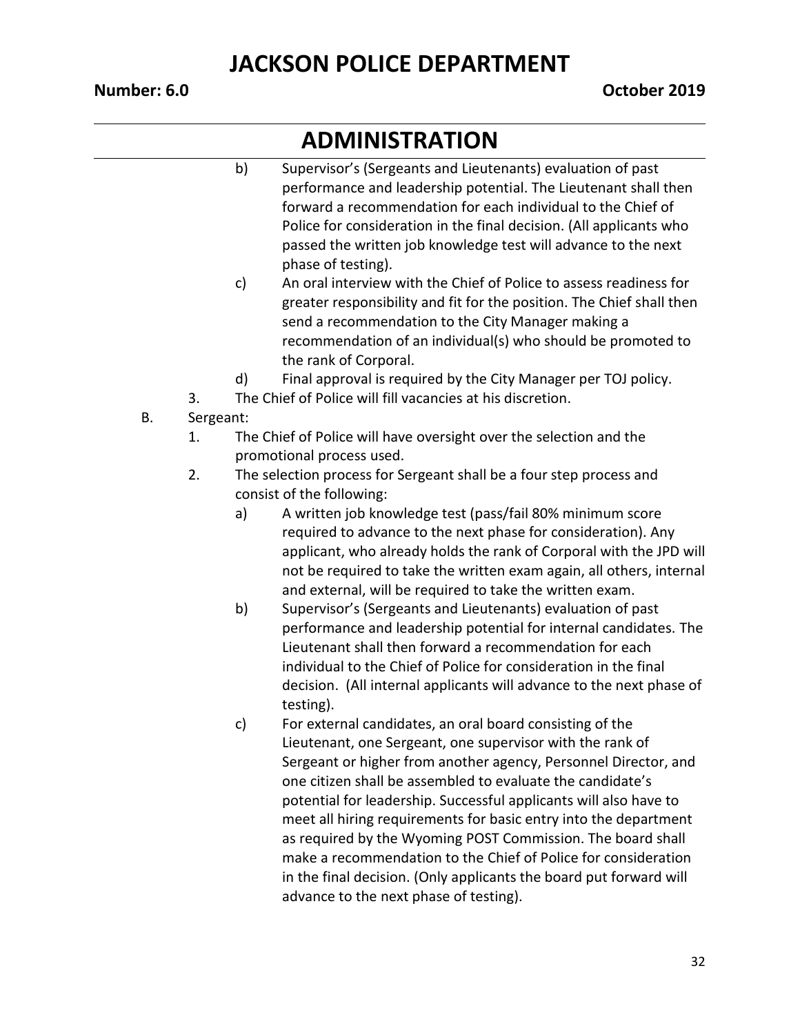## **ADMINISTRATION**

- b) Supervisor's (Sergeants and Lieutenants) evaluation of past performance and leadership potential. The Lieutenant shall then forward a recommendation for each individual to the Chief of Police for consideration in the final decision. (All applicants who passed the written job knowledge test will advance to the next phase of testing).
- c) An oral interview with the Chief of Police to assess readiness for greater responsibility and fit for the position. The Chief shall then send a recommendation to the City Manager making a recommendation of an individual(s) who should be promoted to the rank of Corporal.
- d) Final approval is required by the City Manager per TOJ policy.
- 3. The Chief of Police will fill vacancies at his discretion.
- B. Sergeant:
	- 1. The Chief of Police will have oversight over the selection and the promotional process used.
	- 2. The selection process for Sergeant shall be a four step process and consist of the following:
		- a) A written job knowledge test (pass/fail 80% minimum score required to advance to the next phase for consideration). Any applicant, who already holds the rank of Corporal with the JPD will not be required to take the written exam again, all others, internal and external, will be required to take the written exam.
		- b) Supervisor's (Sergeants and Lieutenants) evaluation of past performance and leadership potential for internal candidates. The Lieutenant shall then forward a recommendation for each individual to the Chief of Police for consideration in the final decision. (All internal applicants will advance to the next phase of testing).
		- c) For external candidates, an oral board consisting of the Lieutenant, one Sergeant, one supervisor with the rank of Sergeant or higher from another agency, Personnel Director, and one citizen shall be assembled to evaluate the candidate's potential for leadership. Successful applicants will also have to meet all hiring requirements for basic entry into the department as required by the Wyoming POST Commission. The board shall make a recommendation to the Chief of Police for consideration in the final decision. (Only applicants the board put forward will advance to the next phase of testing).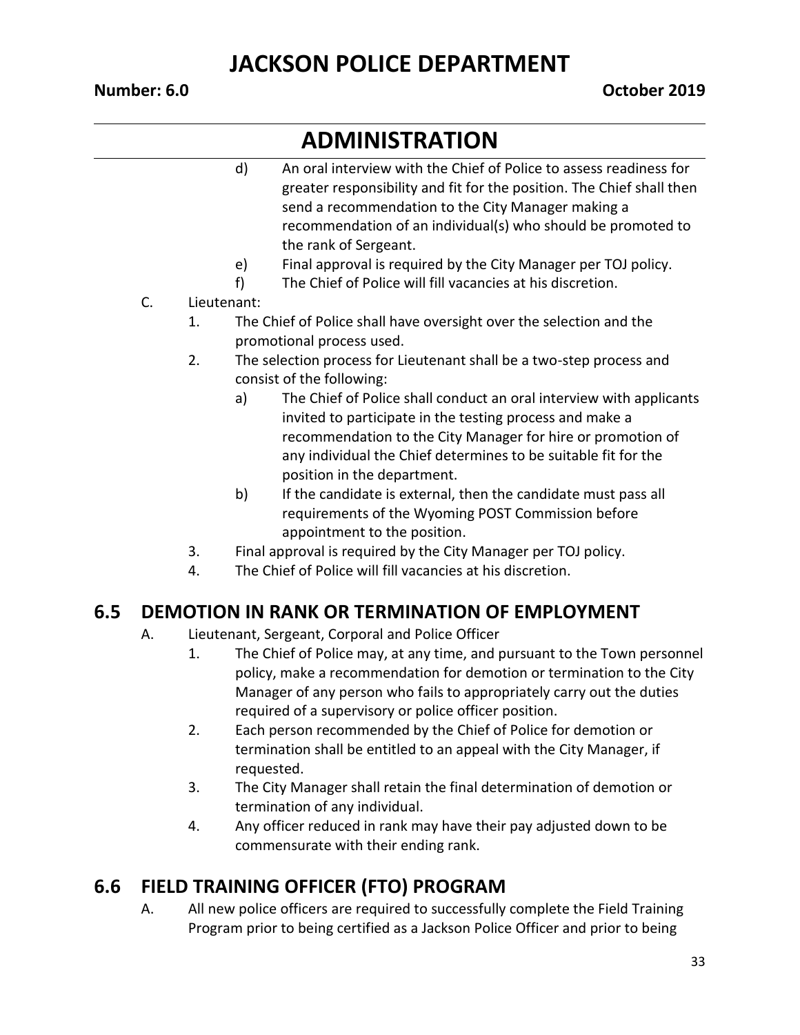# **ADMINISTRATION**

- d) An oral interview with the Chief of Police to assess readiness for greater responsibility and fit for the position. The Chief shall then send a recommendation to the City Manager making a recommendation of an individual(s) who should be promoted to the rank of Sergeant.
- e) Final approval is required by the City Manager per TOJ policy.
- f) The Chief of Police will fill vacancies at his discretion.
- C. Lieutenant:
	- 1. The Chief of Police shall have oversight over the selection and the promotional process used.
	- 2. The selection process for Lieutenant shall be a two-step process and consist of the following:
		- a) The Chief of Police shall conduct an oral interview with applicants invited to participate in the testing process and make a recommendation to the City Manager for hire or promotion of any individual the Chief determines to be suitable fit for the position in the department.
		- b) If the candidate is external, then the candidate must pass all requirements of the Wyoming POST Commission before appointment to the position.
	- 3. Final approval is required by the City Manager per TOJ policy.
	- 4. The Chief of Police will fill vacancies at his discretion.

#### **6.5 DEMOTION IN RANK OR TERMINATION OF EMPLOYMENT**

- A. Lieutenant, Sergeant, Corporal and Police Officer
	- 1. The Chief of Police may, at any time, and pursuant to the Town personnel policy, make a recommendation for demotion or termination to the City Manager of any person who fails to appropriately carry out the duties required of a supervisory or police officer position.
	- 2. Each person recommended by the Chief of Police for demotion or termination shall be entitled to an appeal with the City Manager, if requested.
	- 3. The City Manager shall retain the final determination of demotion or termination of any individual.
	- 4. Any officer reduced in rank may have their pay adjusted down to be commensurate with their ending rank.

#### **6.6 FIELD TRAINING OFFICER (FTO) PROGRAM**

A. All new police officers are required to successfully complete the Field Training Program prior to being certified as a Jackson Police Officer and prior to being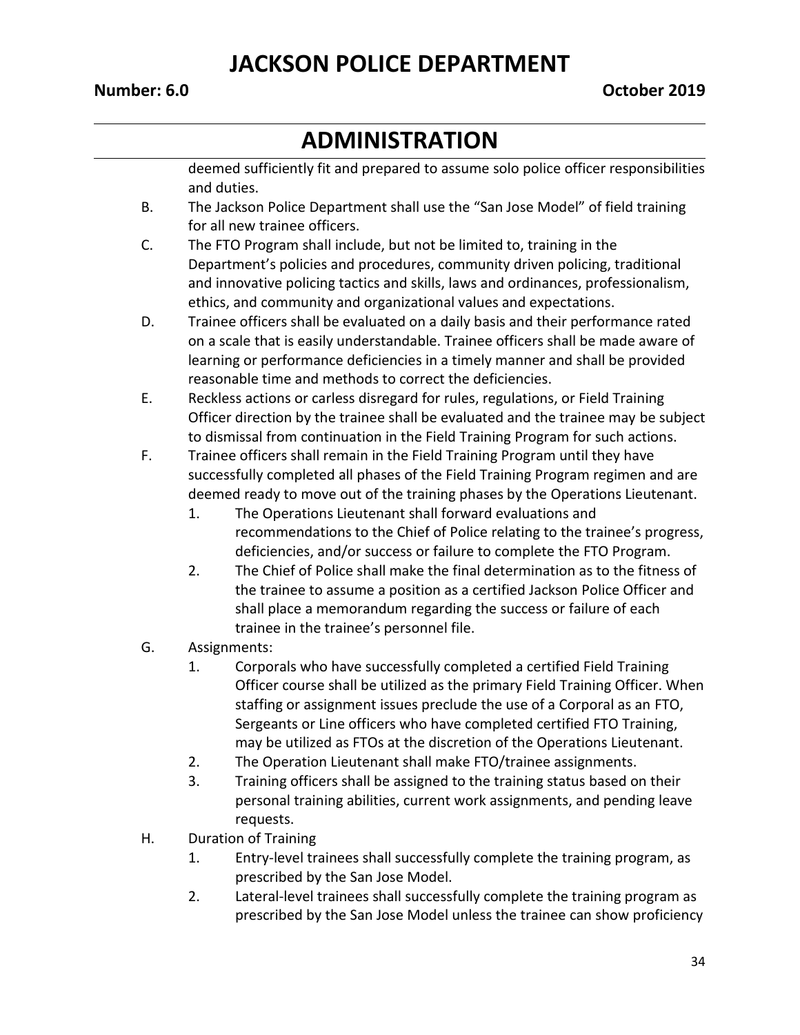# **ADMINISTRATION**

deemed sufficiently fit and prepared to assume solo police officer responsibilities and duties.

- B. The Jackson Police Department shall use the "San Jose Model" of field training for all new trainee officers.
- C. The FTO Program shall include, but not be limited to, training in the Department's policies and procedures, community driven policing, traditional and innovative policing tactics and skills, laws and ordinances, professionalism, ethics, and community and organizational values and expectations.
- D. Trainee officers shall be evaluated on a daily basis and their performance rated on a scale that is easily understandable. Trainee officers shall be made aware of learning or performance deficiencies in a timely manner and shall be provided reasonable time and methods to correct the deficiencies.
- E. Reckless actions or carless disregard for rules, regulations, or Field Training Officer direction by the trainee shall be evaluated and the trainee may be subject to dismissal from continuation in the Field Training Program for such actions.
- F. Trainee officers shall remain in the Field Training Program until they have successfully completed all phases of the Field Training Program regimen and are deemed ready to move out of the training phases by the Operations Lieutenant.
	- 1. The Operations Lieutenant shall forward evaluations and recommendations to the Chief of Police relating to the trainee's progress, deficiencies, and/or success or failure to complete the FTO Program.
	- 2. The Chief of Police shall make the final determination as to the fitness of the trainee to assume a position as a certified Jackson Police Officer and shall place a memorandum regarding the success or failure of each trainee in the trainee's personnel file.
- G. Assignments:
	- 1. Corporals who have successfully completed a certified Field Training Officer course shall be utilized as the primary Field Training Officer. When staffing or assignment issues preclude the use of a Corporal as an FTO, Sergeants or Line officers who have completed certified FTO Training, may be utilized as FTOs at the discretion of the Operations Lieutenant.
	- 2. The Operation Lieutenant shall make FTO/trainee assignments.
	- 3. Training officers shall be assigned to the training status based on their personal training abilities, current work assignments, and pending leave requests.
- H. Duration of Training
	- 1. Entry-level trainees shall successfully complete the training program, as prescribed by the San Jose Model.
	- 2. Lateral-level trainees shall successfully complete the training program as prescribed by the San Jose Model unless the trainee can show proficiency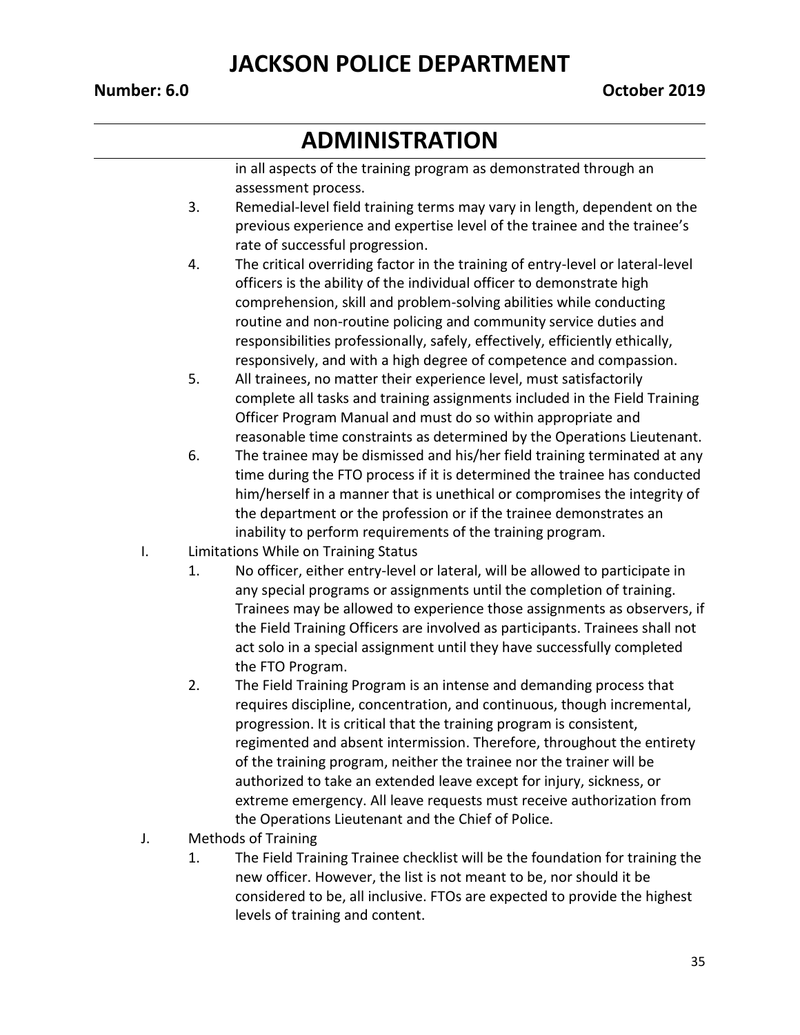# **ADMINISTRATION**

in all aspects of the training program as demonstrated through an assessment process.

- 3. Remedial-level field training terms may vary in length, dependent on the previous experience and expertise level of the trainee and the trainee's rate of successful progression.
- 4. The critical overriding factor in the training of entry-level or lateral-level officers is the ability of the individual officer to demonstrate high comprehension, skill and problem-solving abilities while conducting routine and non-routine policing and community service duties and responsibilities professionally, safely, effectively, efficiently ethically, responsively, and with a high degree of competence and compassion.
- 5. All trainees, no matter their experience level, must satisfactorily complete all tasks and training assignments included in the Field Training Officer Program Manual and must do so within appropriate and reasonable time constraints as determined by the Operations Lieutenant.
- 6. The trainee may be dismissed and his/her field training terminated at any time during the FTO process if it is determined the trainee has conducted him/herself in a manner that is unethical or compromises the integrity of the department or the profession or if the trainee demonstrates an inability to perform requirements of the training program.
- I. Limitations While on Training Status
	- 1. No officer, either entry-level or lateral, will be allowed to participate in any special programs or assignments until the completion of training. Trainees may be allowed to experience those assignments as observers, if the Field Training Officers are involved as participants. Trainees shall not act solo in a special assignment until they have successfully completed the FTO Program.
	- 2. The Field Training Program is an intense and demanding process that requires discipline, concentration, and continuous, though incremental, progression. It is critical that the training program is consistent, regimented and absent intermission. Therefore, throughout the entirety of the training program, neither the trainee nor the trainer will be authorized to take an extended leave except for injury, sickness, or extreme emergency. All leave requests must receive authorization from the Operations Lieutenant and the Chief of Police.
- J. Methods of Training
	- 1. The Field Training Trainee checklist will be the foundation for training the new officer. However, the list is not meant to be, nor should it be considered to be, all inclusive. FTOs are expected to provide the highest levels of training and content.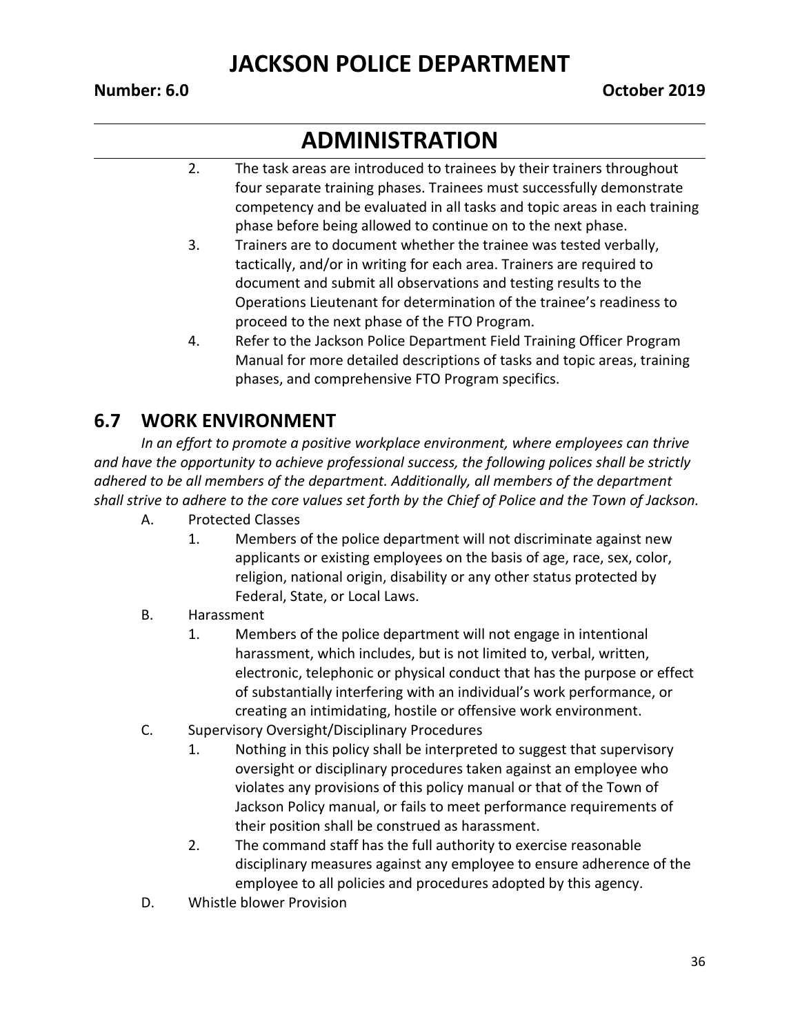## **ADMINISTRATION**

- 2. The task areas are introduced to trainees by their trainers throughout four separate training phases. Trainees must successfully demonstrate competency and be evaluated in all tasks and topic areas in each training phase before being allowed to continue on to the next phase.
- 3. Trainers are to document whether the trainee was tested verbally, tactically, and/or in writing for each area. Trainers are required to document and submit all observations and testing results to the Operations Lieutenant for determination of the trainee's readiness to proceed to the next phase of the FTO Program.
- 4. Refer to the Jackson Police Department Field Training Officer Program Manual for more detailed descriptions of tasks and topic areas, training phases, and comprehensive FTO Program specifics.

#### **6.7 WORK ENVIRONMENT**

In an effort to promote a positive workplace environment, where employees can thrive *and have the opportunity to achieve professional success, the following polices shall be strictly adhered to be all members of the department. Additionally, all members of the department shall strive to adhere to the core values set forth by the Chief of Police and the Town of Jackson.*

- A. Protected Classes
	- 1. Members of the police department will not discriminate against new applicants or existing employees on the basis of age, race, sex, color, religion, national origin, disability or any other status protected by Federal, State, or Local Laws.

#### B. Harassment

- 1. Members of the police department will not engage in intentional harassment, which includes, but is not limited to, verbal, written, electronic, telephonic or physical conduct that has the purpose or effect of substantially interfering with an individual's work performance, or creating an intimidating, hostile or offensive work environment.
- C. Supervisory Oversight/Disciplinary Procedures
	- 1. Nothing in this policy shall be interpreted to suggest that supervisory oversight or disciplinary procedures taken against an employee who violates any provisions of this policy manual or that of the Town of Jackson Policy manual, or fails to meet performance requirements of their position shall be construed as harassment.
	- 2. The command staff has the full authority to exercise reasonable disciplinary measures against any employee to ensure adherence of the employee to all policies and procedures adopted by this agency.
- D. Whistle blower Provision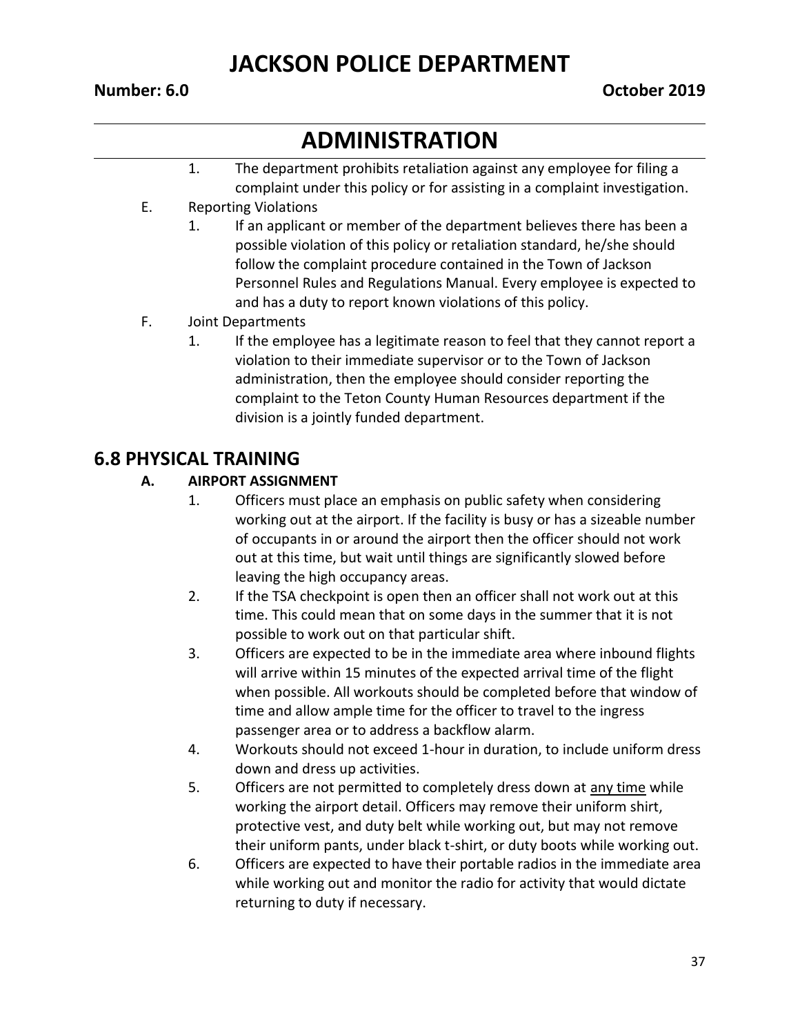# **ADMINISTRATION**

- 1. The department prohibits retaliation against any employee for filing a complaint under this policy or for assisting in a complaint investigation.
- E. Reporting Violations
	- 1. If an applicant or member of the department believes there has been a possible violation of this policy or retaliation standard, he/she should follow the complaint procedure contained in the Town of Jackson Personnel Rules and Regulations Manual. Every employee is expected to and has a duty to report known violations of this policy.
- F. Joint Departments
	- 1. If the employee has a legitimate reason to feel that they cannot report a violation to their immediate supervisor or to the Town of Jackson administration, then the employee should consider reporting the complaint to the Teton County Human Resources department if the division is a jointly funded department.

#### **6.8 PHYSICAL TRAINING**

#### **A. AIRPORT ASSIGNMENT**

- 1. Officers must place an emphasis on public safety when considering working out at the airport. If the facility is busy or has a sizeable number of occupants in or around the airport then the officer should not work out at this time, but wait until things are significantly slowed before leaving the high occupancy areas.
- 2. If the TSA checkpoint is open then an officer shall not work out at this time. This could mean that on some days in the summer that it is not possible to work out on that particular shift.
- 3. Officers are expected to be in the immediate area where inbound flights will arrive within 15 minutes of the expected arrival time of the flight when possible. All workouts should be completed before that window of time and allow ample time for the officer to travel to the ingress passenger area or to address a backflow alarm.
- 4. Workouts should not exceed 1-hour in duration, to include uniform dress down and dress up activities.
- 5. Officers are not permitted to completely dress down at any time while working the airport detail. Officers may remove their uniform shirt, protective vest, and duty belt while working out, but may not remove their uniform pants, under black t-shirt, or duty boots while working out.
- 6. Officers are expected to have their portable radios in the immediate area while working out and monitor the radio for activity that would dictate returning to duty if necessary.